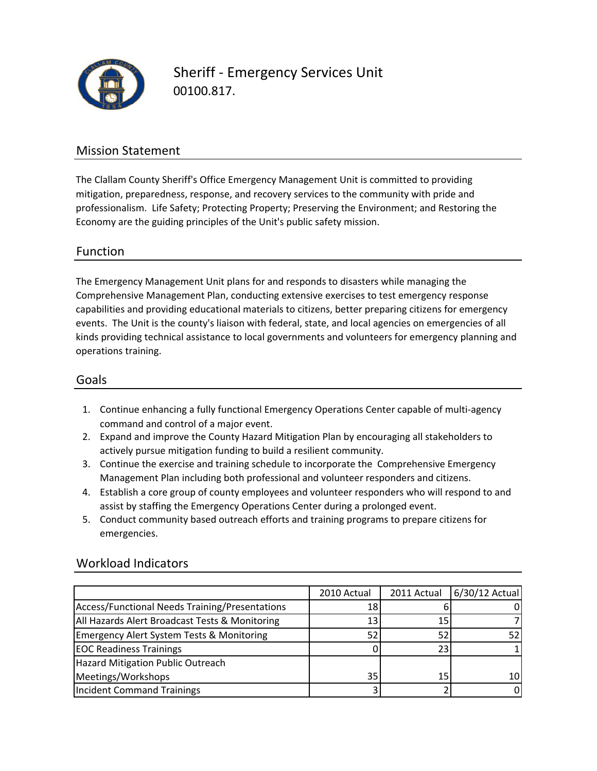

00100.817. Sheriff ‐ Emergency Services Unit

## Mission Statement

The Clallam County Sheriff's Office Emergency Management Unit is committed to providing mitigation, preparedness, response, and recovery services to the community with pride and professionalism. Life Safety; Protecting Property; Preserving the Environment; and Restoring the Economy are the guiding principles of the Unit's public safety mission.

## Function

The Emergency Management Unit plans for and responds to disasters while managing the Comprehensive Management Plan, conducting extensive exercises to test emergency response capabilities and providing educational materials to citizens, better preparing citizens for emergency events. The Unit is the county's liaison with federal, state, and local agencies on emergencies of all kinds providing technical assistance to local governments and volunteers for emergency planning and operations training.

## Goals

- 1. Continue enhancing a fully functional Emergency Operations Center capable of multi‐agency command and control of a major event.
- 2. Expand and improve the County Hazard Mitigation Plan by encouraging all stakeholders to actively pursue mitigation funding to build a resilient community.
- 3. Continue the exercise and training schedule to incorporate the Comprehensive Emergency Management Plan including both professional and volunteer responders and citizens.
- 4. Establish a core group of county employees and volunteer responders who will respond to and assist by staffing the Emergency Operations Center during a prolonged event.
- 5. Conduct community based outreach efforts and training programs to prepare citizens for emergencies.

|                                                      | 2010 Actual | 2011 Actual | $6/30/12$ Actual |
|------------------------------------------------------|-------------|-------------|------------------|
| Access/Functional Needs Training/Presentations       | 18          |             |                  |
| All Hazards Alert Broadcast Tests & Monitoring       | 13          | 15          |                  |
| <b>Emergency Alert System Tests &amp; Monitoring</b> | 52          | 52          |                  |
| <b>EOC Readiness Trainings</b>                       |             | 23          |                  |
| <b>Hazard Mitigation Public Outreach</b>             |             |             |                  |
| Meetings/Workshops                                   | 35          | 15          | 10               |
| <b>Incident Command Trainings</b>                    |             |             |                  |

## Workload Indicators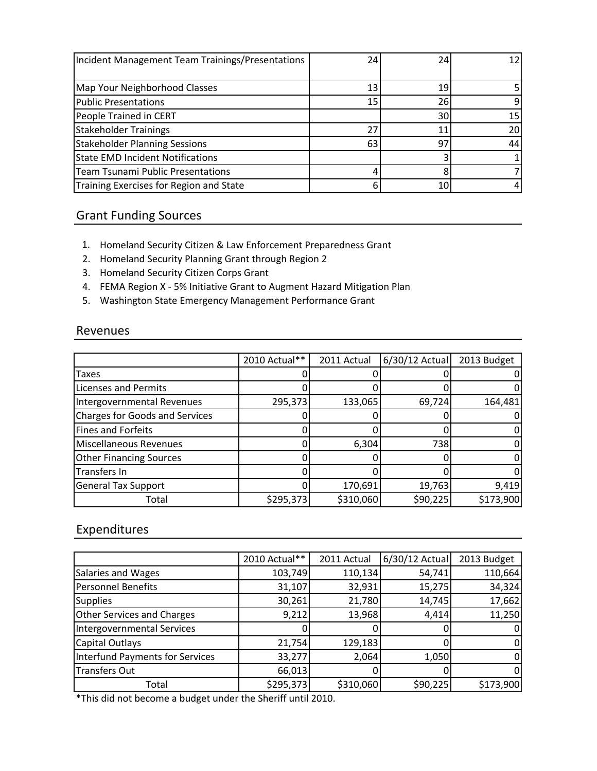| Incident Management Team Trainings/Presentations | 24 | 24              | 12 <sub>1</sub> |
|--------------------------------------------------|----|-----------------|-----------------|
|                                                  |    |                 |                 |
| Map Your Neighborhood Classes                    | 13 | 19 <sup>1</sup> |                 |
| <b>Public Presentations</b>                      | 15 | <b>26</b>       | 9               |
| People Trained in CERT                           |    | 30              | 15              |
| <b>Stakeholder Trainings</b>                     | 27 | 11              | 20              |
| <b>Stakeholder Planning Sessions</b>             | 63 | 97              | 44              |
| <b>State EMD Incident Notifications</b>          |    |                 |                 |
| <b>Team Tsunami Public Presentations</b>         |    |                 |                 |
| Training Exercises for Region and State          | 6  | 10I             |                 |

# Grant Funding Sources

- 1. Homeland Security Citizen & Law Enforcement Preparedness Grant
- 2. Homeland Security Planning Grant through Region 2
- 3. Homeland Security Citizen Corps Grant
- 4. FEMA Region X ‐ 5% Initiative Grant to Augment Hazard Mitigation Plan
- 5. Washington State Emergency Management Performance Grant

#### Revenues

|                                       | 2010 Actual** | 2011 Actual | $6/30/12$ Actual | 2013 Budget    |
|---------------------------------------|---------------|-------------|------------------|----------------|
| Taxes                                 |               |             |                  | 01             |
| <b>Licenses and Permits</b>           |               |             |                  | 01             |
| Intergovernmental Revenues            | 295,373       | 133,065     | 69,724           | 164,481        |
| <b>Charges for Goods and Services</b> |               |             |                  | 01             |
| <b>Fines and Forfeits</b>             |               |             |                  | 01             |
| Miscellaneous Revenues                |               | 6,304       | 738              | 01             |
| <b>Other Financing Sources</b>        |               |             |                  | $\overline{0}$ |
| Transfers In                          |               |             |                  | 0l             |
| <b>General Tax Support</b>            |               | 170,691     | 19,763           | 9,419          |
| Total                                 | \$295,373     | \$310,060   | \$90,225         | \$173,900      |

## Expenditures

|                                        | 2010 Actual** | 2011 Actual | 6/30/12 Actual | 2013 Budget |
|----------------------------------------|---------------|-------------|----------------|-------------|
| Salaries and Wages                     | 103,749       | 110,134     | 54,741         | 110,664     |
| <b>Personnel Benefits</b>              | 31,107        | 32,931      | 15,275         | 34,324      |
| <b>Supplies</b>                        | 30,261        | 21,780      | 14,745         | 17,662      |
| <b>Other Services and Charges</b>      | 9,212         | 13,968      | 4,414          | 11,250      |
| <b>Intergovernmental Services</b>      |               |             |                | 0           |
| Capital Outlays                        | 21,754        | 129,183     |                | 0           |
| <b>Interfund Payments for Services</b> | 33,277        | 2,064       | 1,050          | 0           |
| <b>Transfers Out</b>                   | 66,013        |             |                | 0           |
| Total                                  | \$295,373     | \$310,060   | \$90,225       | \$173,900   |

\*This did not become a budget under the Sheriff until 2010.